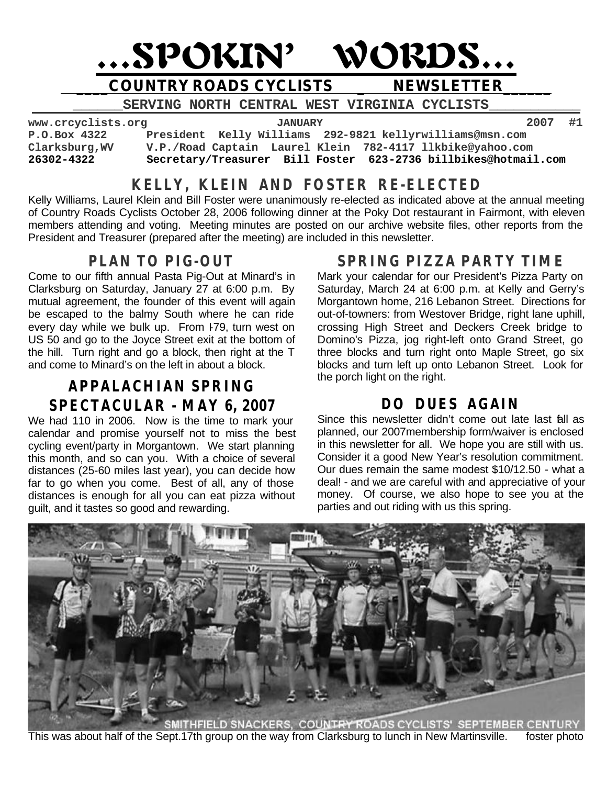

SERVING NORTH CENTRAL WEST VIRGINIA CYCLISTS

**www.crcyclists.org JANUARY 2007 #1** President Kelly Williams 292-9821 kellyrwilliams@msn.com **Clarksburg,WV V.P./Road Captain Laurel Klein 782-4117 llkbike@yahoo.com 26302-4322 Secretary/Treasurer Bill Foster 623-2736 billbikes@hotmail.com**

# **KELLY, KLEIN AND FOSTER RE-ELECTED**

Kelly Williams, Laurel Klein and Bill Foster were unanimously re-elected as indicated above at the annual meeting of Country Roads Cyclists October 28, 2006 following dinner at the Poky Dot restaurant in Fairmont, with eleven members attending and voting. Meeting minutes are posted on our archive website files, other reports from the President and Treasurer (prepared after the meeting) are included in this newsletter.

# **PLAN TO PIG-OUT**

Come to our fifth annual Pasta Pig-Out at Minard's in Clarksburg on Saturday, January 27 at 6:00 p.m. By mutual agreement, the founder of this event will again be escaped to the balmy South where he can ride every day while we bulk up. From I79, turn west on US 50 and go to the Joyce Street exit at the bottom of the hill. Turn right and go a block, then right at the T and come to Minard's on the left in about a block.

# **APPALACHIAN SPRING SPECTACULAR - MAY 6, 2007**

We had 110 in 2006. Now is the time to mark your calendar and promise yourself not to miss the best cycling event/party in Morgantown. We start planning this month, and so can you. With a choice of several distances (25-60 miles last year), you can decide how far to go when you come. Best of all, any of those distances is enough for all you can eat pizza without guilt, and it tastes so good and rewarding.

# **SPRING PIZZA PARTY TIME**

Mark your calendar for our President's Pizza Party on Saturday, March 24 at 6:00 p.m. at Kelly and Gerry's Morgantown home, 216 Lebanon Street. Directions for out-of-towners: from Westover Bridge, right lane uphill, crossing High Street and Deckers Creek bridge to Domino's Pizza, jog right-left onto Grand Street, go three blocks and turn right onto Maple Street, go six blocks and turn left up onto Lebanon Street. Look for the porch light on the right.

# **DO DUES AGAIN**

Since this newsletter didn't come out late last fall as planned, our 2007membership form/waiver is enclosed in this newsletter for all. We hope you are still with us. Consider it a good New Year's resolution commitment. Our dues remain the same modest \$10/12.50 - what a deal! - and we are careful with and appreciative of your money. Of course, we also hope to see you at the parties and out riding with us this spring.



This was about half of the Sept.17th group on the way from Clarksburg to lunch in New Martinsville. foster photo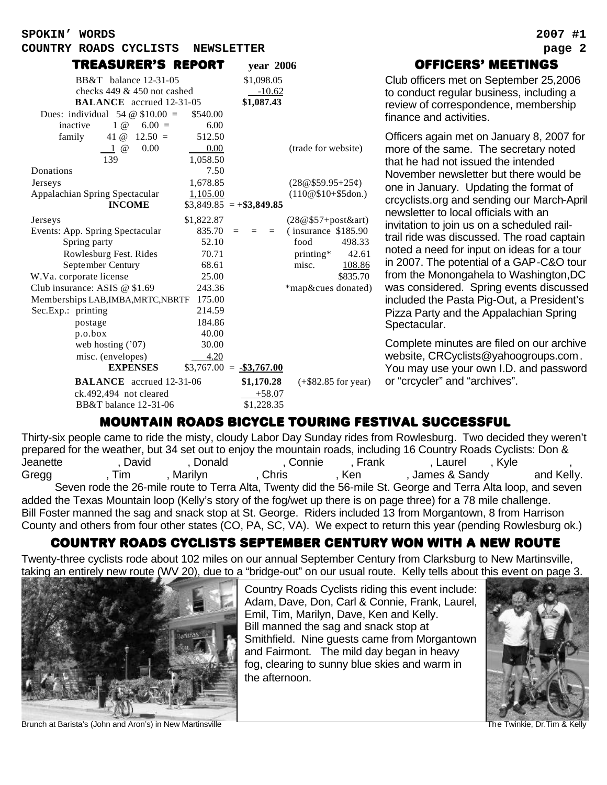**SPOKIN' WORDS 2007 #1**

#### **COUNTRY ROADS CYCLISTS NEWSLETTER page 2**

| TREASURER'S REPORT                        |            |                           | year 2006              |
|-------------------------------------------|------------|---------------------------|------------------------|
| BB&T balance 12-31-05                     |            | \$1,098.05                |                        |
| checks $449 \& 450$ not cashed            |            | $-10.62$                  |                        |
| <b>BALANCE</b> accrued 12-31-05           |            | \$1,087.43                |                        |
| Dues: individual 54 $\omega$ \$10.00 =    | \$540.00   |                           |                        |
| inactive<br>$1 \omega$<br>$6.00 =$        | 6.00       |                           |                        |
| 41 @<br>$12.50 =$<br>family               | 512.50     |                           |                        |
| 0.00<br>$1 \omega$                        | 0.00       |                           | (trade for website)    |
| 139                                       | 1,058.50   |                           |                        |
| Donations                                 | 7.50       |                           |                        |
| <b>Jerseys</b>                            | 1,678.85   |                           | $(28@$59.95+25¢)$      |
| Appalachian Spring Spectacular            | 1,105.00   |                           | $(110@$10+$5don.)$     |
| <b>INCOME</b>                             |            | $$3,849.85 = +\$3,849.85$ |                        |
| Jerseys                                   | \$1,822.87 |                           | $(28@$57+post&art)$    |
| Events: App. Spring Spectacular           | 835.70     | $=$<br>$=$                | $(insurance \$185.90)$ |
| Spring party                              | 52.10      |                           | food<br>498.33         |
| Rowlesburg Fest. Rides                    | 70.71      |                           | printing*<br>42.61     |
| September Century                         | 68.61      |                           | misc.<br>108.86        |
| W.Va. corporate license                   | 25.00      |                           | \$835.70               |
| Club insurance: ASIS @ \$1.69             | 243.36     |                           | *map&cues donated)     |
| Memberships LAB, IMBA, MRTC, NBRTF 175.00 |            |                           |                        |
| Sec.Exp.: printing                        | 214.59     |                           |                        |
| postage                                   | 184.86     |                           |                        |
| p.o. box                                  | 40.00      |                           |                        |
| web hosting $('07)$                       | 30.00      |                           |                        |
| misc. (envelopes)                         | 4.20       |                           |                        |
| <b>EXPENSES</b>                           |            | $$3,767.00 = -\$3,767.00$ |                        |
| <b>BALANCE</b> accrued 12-31-06           |            | \$1,170.28                | $(+\$82.85$ for year)  |
| ck.492,494 not cleared                    |            | $+58.07$                  |                        |
| BB&T balance 12-31-06                     |            | \$1,228.35                |                        |

### officers' meetings

Club officers met on September 25,2006 to conduct regular business, including a review of correspondence, membership finance and activities.

Officers again met on January 8, 2007 for more of the same. The secretary noted that he had not issued the intended November newsletter but there would be one in January. Updating the format of crcyclists.org and sending our March-April newsletter to local officials with an invitation to join us on a scheduled railtrail ride was discussed. The road captain noted a need for input on ideas for a tour in 2007. The potential of a GAP-C&O tour from the Monongahela to Washington,DC was considered. Spring events discussed included the Pasta Pig-Out, a President's Pizza Party and the Appalachian Spring Spectacular.

Complete minutes are filed on our archive website, CRCyclists@yahoogroups.com. You may use your own I.D. and password or "crcycler" and "archives".

### MOUNTAIN ROADS BICYCLE TOURING FESTIVAL SUCCESSFUL

Thirty-six people came to ride the misty, cloudy Labor Day Sunday rides from Rowlesburg. Two decided they weren't prepared for the weather, but 34 set out to enjoy the mountain roads, including 16 Country Roads Cyclists: Don & Jeanette , David , Donald , Connie , Frank , Laurel , Kyle , , Gregg , Tim , Marilyn , Chris , Ken , James & Sandy and Kelly. Seven rode the 26-mile route to Terra Alta, Twenty did the 56-mile St. George and Terra Alta loop, and seven added the Texas Mountain loop (Kelly's story of the fog/wet up there is on page three) for a 78 mile challenge. Bill Foster manned the sag and snack stop at St. George. Riders included 13 from Morgantown, 8 from Harrison County and others from four other states (CO, PA, SC, VA). We expect to return this year (pending Rowlesburg ok.)

#### country roads cyclists September century won with a new route

Twenty-three cyclists rode about 102 miles on our annual September Century from Clarksburg to New Martinsville, taking an entirely new route (WV 20), due to a "bridge-out" on our usual route. Kelly tells about this event on page 3.

 $\overline{a}$ 

Country Roads Cyclists riding this event include: Adam, Dave, Don, Carl & Connie, Frank, Laurel, Emil, Tim, Marilyn, Dave, Ken and Kelly. Bill manned the sag and snack stop at Smithfield. Nine guests came from Morgantown and Fairmont. The mild day began in heavy fog, clearing to sunny blue skies and warm in the afternoon.



Brunch at Barista's (John and Aron's) in New Martinsville The Twinkie, Dr.Tim & Kelly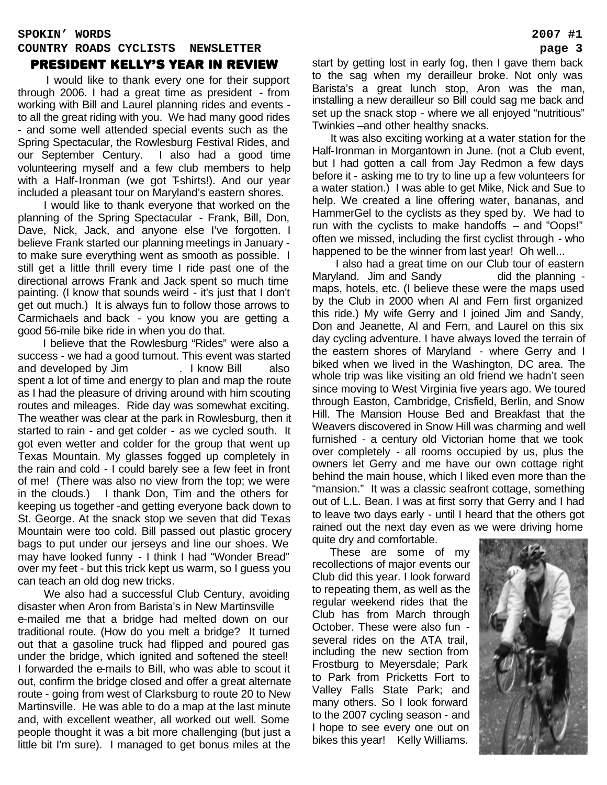## **SPOKIN' WORDS 2007 #1 COUNTRY ROADS CYCLISTS NEWSLETTER page 3**

#### President KELLY'S YEAR IN REVIEW

 I would like to thank every one for their support through 2006. I had a great time as president - from working with Bill and Laurel planning rides and events to all the great riding with you. We had many good rides - and some well attended special events such as the Spring Spectacular, the Rowlesburg Festival Rides, and our September Century. I also had a good time volunteering myself and a few club members to help with a Half-Ironman (we got T-shirts!). And our year included a pleasant tour on Maryland's eastern shores.

 I would like to thank everyone that worked on the planning of the Spring Spectacular - Frank, Bill, Don, Dave, Nick, Jack, and anyone else I've forgotten. I believe Frank started our planning meetings in January to make sure everything went as smooth as possible. I still get a little thrill every time I ride past one of the directional arrows Frank and Jack spent so much time painting. (I know that sounds weird - it's just that I don't get out much.) It is always fun to follow those arrows to Carmichaels and back - you know you are getting a good 56-mile bike ride in when you do that.

 I believe that the Rowlesburg "Rides" were also a success - we had a good turnout. This event was started and developed by Jim . I know Bill also spent a lot of time and energy to plan and map the route as I had the pleasure of driving around with him scouting routes and mileages. Ride day was somewhat exciting. The weather was clear at the park in Rowlesburg, then it started to rain - and get colder - as we cycled south. It got even wetter and colder for the group that went up Texas Mountain. My glasses fogged up completely in the rain and cold - I could barely see a few feet in front of me! (There was also no view from the top; we were in the clouds.) I thank Don, Tim and the others for keeping us together -and getting everyone back down to St. George. At the snack stop we seven that did Texas Mountain were too cold. Bill passed out plastic grocery bags to put under our jerseys and line our shoes. We may have looked funny - I think I had "Wonder Bread" over my feet - but this trick kept us warm, so I guess you can teach an old dog new tricks.

 We also had a successful Club Century, avoiding disaster when Aron from Barista's in New Martinsville e-mailed me that a bridge had melted down on our traditional route. (How do you melt a bridge? It turned out that a gasoline truck had flipped and poured gas under the bridge, which ignited and softened the steel! I forwarded the e-mails to Bill, who was able to scout it out, confirm the bridge closed and offer a great alternate route - going from west of Clarksburg to route 20 to New Martinsville. He was able to do a map at the last minute and, with excellent weather, all worked out well. Some people thought it was a bit more challenging (but just a little bit I'm sure). I managed to get bonus miles at the start by getting lost in early fog, then I gave them back to the sag when my derailleur broke. Not only was Barista's a great lunch stop, Aron was the man, installing a new derailleur so Bill could sag me back and set up the snack stop - where we all enjoyed "nutritious" Twinkies –and other healthy snacks.

 It was also exciting working at a water station for the Half-Ironman in Morgantown in June. (not a Club event, but I had gotten a call from Jay Redmon a few days before it - asking me to try to line up a few volunteers for a water station.) I was able to get Mike, Nick and Sue to help. We created a line offering water, bananas, and HammerGel to the cyclists as they sped by. We had to run with the cyclists to make handoffs – and "Oops!" often we missed, including the first cyclist through - who happened to be the winner from last year! Oh well...

 I also had a great time on our Club tour of eastern Maryland. Jim and Sandy did the planning maps, hotels, etc. (I believe these were the maps used by the Club in 2000 when Al and Fern first organized this ride.) My wife Gerry and I joined Jim and Sandy, Don and Jeanette, Al and Fern, and Laurel on this six day cycling adventure. I have always loved the terrain of the eastern shores of Maryland - where Gerry and I biked when we lived in the Washington, DC area. The whole trip was like visiting an old friend we hadn't seen since moving to West Virginia five years ago. We toured through Easton, Cambridge, Crisfield, Berlin, and Snow Hill. The Mansion House Bed and Breakfast that the Weavers discovered in Snow Hill was charming and well furnished - a century old Victorian home that we took over completely - all rooms occupied by us, plus the owners let Gerry and me have our own cottage right behind the main house, which I liked even more than the "mansion." It was a classic seafront cottage, something out of L.L. Bean. I was at first sorry that Gerry and I had to leave two days early - until I heard that the others got rained out the next day even as we were driving home

quite dry and comfortable. These are some of my

recollections of major events our Club did this year. I look forward to repeating them, as well as the regular weekend rides that the Club has from March through October. These were also fun several rides on the ATA trail, including the new section from Frostburg to Meyersdale; Park to Park from Pricketts Fort to Valley Falls State Park; and many others. So I look forward to the 2007 cycling season - and I hope to see every one out on bikes this year! Kelly Williams.